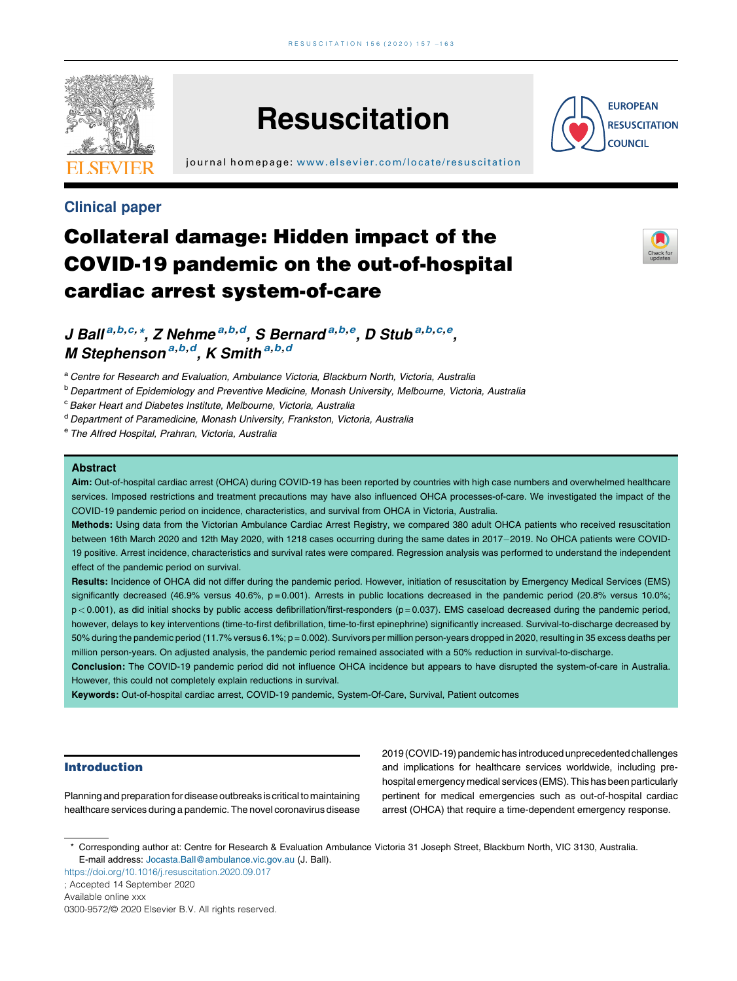

# **Resuscitation**

j ournal home page: [www.elsevier.com/locate/resus](www.elsevier.com/locate/resuscitation) citation



### Clinical paper

## Collateral damage: Hidden impact of the COVID-19 pandemic on the out-of-hospital cardiac arrest system-of-care



J Ball<sup>a,b,c,\*</sup>, Z Nehme<sup>a,b,d</sup>, S Bernard<sup>a,b,e</sup>, D Stub<sup>a,b,c,e</sup>, M Stephenson <sup>a,b,d</sup>, K Smith <sup>a,b,d</sup>

a Centre for Research and Evaluation, Ambulance Victoria, Blackburn North, Victoria, Australia

**b Department of Epidemiology and Preventive Medicine, Monash University, Melbourne, Victoria, Australia** 

<sup>c</sup> Baker Heart and Diabetes Institute, Melbourne, Victoria, Australia

<sup>d</sup> Department of Paramedicine, Monash University, Frankston, Victoria, Australia

e The Alfred Hospital, Prahran, Victoria, Australia

#### **Abstract**

Aim: Out-of-hospital cardiac arrest (OHCA) during COVID-19 has been reported by countries with high case numbers and overwhelmed healthcare services. Imposed restrictions and treatment precautions may have also influenced OHCA processes-of-care. We investigated the impact of the COVID-19 pandemic period on incidence, characteristics, and survival from OHCA in Victoria, Australia.

Methods: Using data from the Victorian Ambulance Cardiac Arrest Registry, we compared 380 adult OHCA patients who received resuscitation between 16th March 2020 and 12th May 2020, with 1218 cases occurring during the same dates in 2017-2019. No OHCA patients were COVID-19 positive. Arrest incidence, characteristics and survival rates were compared. Regression analysis was performed to understand the independent effect of the pandemic period on survival.

Results: Incidence of OHCA did not differ during the pandemic period. However, initiation of resuscitation by Emergency Medical Services (EMS) significantly decreased (46.9% versus 40.6%, p = 0.001). Arrests in public locations decreased in the pandemic period (20.8% versus 10.0%; p < 0.001), as did initial shocks by public access defibrillation/first-responders (p = 0.037). EMS caseload decreased during the pandemic period, however, delays to key interventions (time-to-first defibrillation, time-to-first epinephrine) significantly increased. Survival-to-discharge decreased by 50% during the pandemic period (11.7% versus 6.1%; p = 0.002). Survivors per million person-years dropped in 2020, resulting in 35 excess deaths per million person-years. On adjusted analysis, the pandemic period remained associated with a 50% reduction in survival-to-discharge.

Conclusion: The COVID-19 pandemic period did not influence OHCA incidence but appears to have disrupted the system-of-care in Australia. However, this could not completely explain reductions in survival.

Keywords: Out-of-hospital cardiac arrest, COVID-19 pandemic, System-Of-Care, Survival, Patient outcomes

#### Introduction

Planning and preparation for disease outbreaks is critical to maintaining healthcare services during a pandemic. The novel coronavirus disease 2019 (COVID-19) pandemic has introduced unprecedented challenges and implications for healthcare services worldwide, including prehospital emergency medical services (EMS). This has been particularly pertinent for medical emergencies such as out-of-hospital cardiac arrest (OHCA) that require a time-dependent emergency response.

\* Corresponding author at: Centre for Research & Evaluation Ambulance Victoria 31 Joseph Street, Blackburn North, VIC 3130, Australia. E-mail address: [Jocasta.Ball@ambulance.vic.gov.au](mailto:Jocasta.Ball@ambulance.vic.gov.au) (J. Ball).

<https://doi.org/10.1016/j.resuscitation.2020.09.017>

; Accepted 14 September 2020

Available online xxx

<sup>0300-9572/</sup>© 2020 Elsevier B.V. All rights reserved.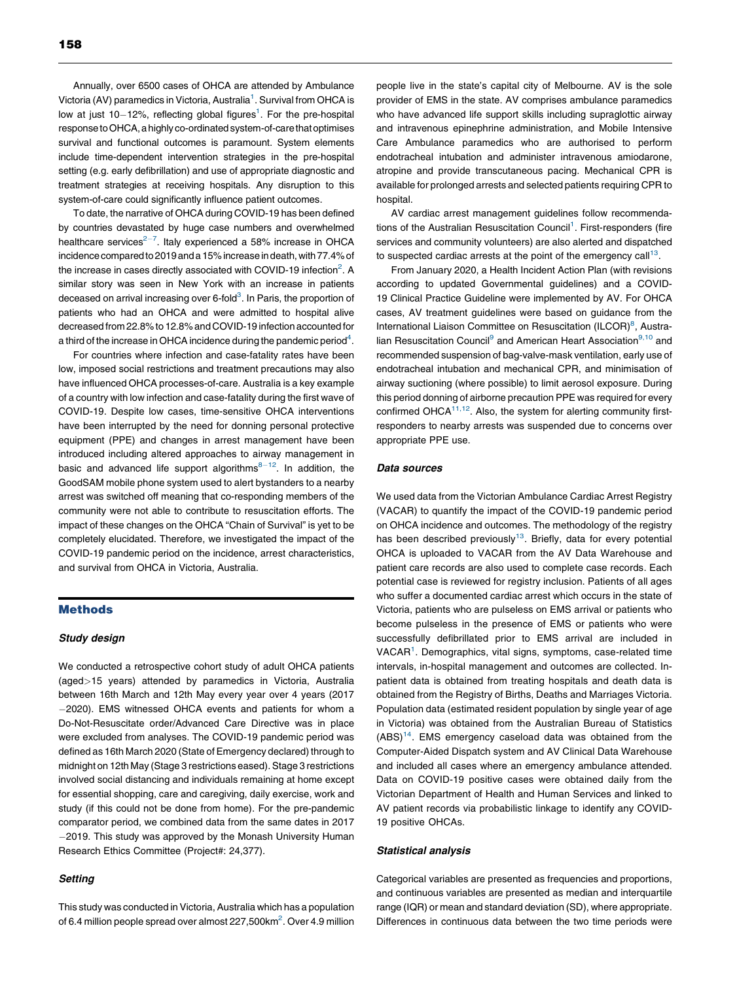Annually, over 6500 cases of OHCA are attended by Ambulance Victoria (AV) paramedics in Victoria, Australia<sup>1</sup>. Survival from OHCA is low at just  $10-12%$ , reflecting global figures<sup>1</sup>. For the pre-hospital response to OHCA, a highly co-ordinated system-of-care that optimises survival and functional outcomes is paramount. System elements include time-dependent intervention strategies in the pre-hospital setting (e.g. early defibrillation) and use of appropriate diagnostic and treatment strategies at receiving hospitals. Any disruption to this system-of-care could significantly influence patient outcomes.

To date, the narrative of OHCA during COVID-19 has been defined by countries devastated by huge case numbers and overwhelmed healthcare services<sup>2-7</sup>. Italy [experienced](#page-6-0) a 58% increase in OHCA incidence compared to 2019 and a 15% increase in death, with 77.4% of the increase in cases directly associated with COVID-19 infection<sup>2</sup>. A similar story was seen in New York with an increase in patients deceased on arrival increasing over 6-fold<sup>[3](#page-6-0)</sup>. In Paris, the proportion of patients who had an OHCA and were admitted to hospital alive decreased from 22.8% to 12.8% and COVID-19 infection accounted for a third of the increase in OHCA incidence during the pandemic period $^4$  $^4$ .

For countries where infection and case-fatality rates have been low, imposed social restrictions and treatment precautions may also have influenced OHCA processes-of-care. Australia is a key example of a country with low infection and case-fatality during the first wave of COVID-19. Despite low cases, time-sensitive OHCA interventions have been interrupted by the need for donning personal protective equipment (PPE) and changes in arrest management have been introduced including altered approaches to airway management in basic and advanced life support algorithms $8-12$ . In [addition,](#page-6-0) the GoodSAM mobile phone system used to alert bystanders to a nearby arrest was switched off meaning that co-responding members of the community were not able to contribute to resuscitation efforts. The impact of these changes on the OHCA "Chain of Survival" is yet to be completely elucidated. Therefore, we investigated the impact of the COVID-19 pandemic period on the incidence, arrest characteristics, and survival from OHCA in Victoria, Australia.

#### Methods

#### Study design

We conducted a retrospective cohort study of adult OHCA patients (aged>15 years) attended by paramedics in Victoria, Australia between 16th March and 12th May every year over 4 years (2017 2020). EMS witnessed OHCA events and patients for whom a Do-Not-Resuscitate order/Advanced Care Directive was in place were excluded from analyses. The COVID-19 pandemic period was defined as 16th March 2020 (State of Emergency declared) through to midnight on 12th May (Stage 3 restrictions eased). Stage 3 restrictions involved social distancing and individuals remaining at home except for essential shopping, care and caregiving, daily exercise, work and study (if this could not be done from home). For the pre-pandemic comparator period, we combined data from the same dates in 2017 2019. This study was approved by the Monash University Human Research Ethics Committee (Project#: 24,377).

#### **Setting**

This study was conducted in Victoria, Australia which has a population of 6.4 million people spread over almost 227,500km<sup>2</sup>. Over 4.9 million

people live in the state's capital city of Melbourne. AV is the sole provider of EMS in the state. AV comprises ambulance paramedics who have advanced life support skills including supraglottic airway and intravenous epinephrine administration, and Mobile Intensive Care Ambulance paramedics who are authorised to perform endotracheal intubation and administer intravenous amiodarone, atropine and provide transcutaneous pacing. Mechanical CPR is available for prolonged arrests and selected patients requiring CPR to hospital

AV cardiac arrest management guidelines follow recommenda-tions of the Australian Resuscitation Council<sup>[1](#page-6-0)</sup>. First-responders (fire services and community volunteers) are also alerted and dispatched to suspected cardiac arrests at the point of the emergency  $call<sup>13</sup>$  $call<sup>13</sup>$  $call<sup>13</sup>$ .

From January 2020, a Health Incident Action Plan (with revisions according to updated Governmental guidelines) and a COVID-19 Clinical Practice Guideline were implemented by AV. For OHCA cases, AV treatment guidelines were based on guidance from the International Liaison Committee on Resuscitation (ILCOR)<sup>[8](#page-6-0)</sup>, Austra-lian Resuscitation Council<sup>[9](#page-6-0)</sup> [and](#page-6-0) American Heart Association<sup>9,10</sup> and recommended suspension of bag-valve-mask ventilation, early use of endotracheal intubation and mechanical CPR, and minimisation of airway suctioning (where possible) to limit aerosol exposure. During this period donning of airborne precaution PPE was required for every confirmed OHCA<sup>11,12</sup>. Also, the system for alerting [community](#page-6-0) firstresponders to nearby arrests was suspended due to concerns over appropriate PPE use.

#### Data sources

We used data from the Victorian Ambulance Cardiac Arrest Registry (VACAR) to quantify the impact of the COVID-19 pandemic period on OHCA incidence and outcomes. The methodology of the registry has been described previously<sup>13</sup>. Briefly, data for every potential OHCA is uploaded to VACAR from the AV Data Warehouse and patient care records are also used to complete case records. Each potential case is reviewed for registry inclusion. Patients of all ages who suffer a documented cardiac arrest which occurs in the state of Victoria, patients who are pulseless on EMS arrival or patients who become pulseless in the presence of EMS or patients who were successfully defibrillated prior to EMS arrival are included in VACAR<sup>[1](#page-6-0)</sup>. Demographics, vital signs, symptoms, case-related time intervals, in-hospital management and outcomes are collected. Inpatient data is obtained from treating hospitals and death data is obtained from the Registry of Births, Deaths and Marriages Victoria. Population data (estimated resident population by single year of age in Victoria) was obtained from the Australian Bureau of Statistics  $(ABS)^{14}$ . EMS emergency caseload data was obtained from the Computer-Aided Dispatch system and AV Clinical Data Warehouse and included all cases where an emergency ambulance attended. Data on COVID-19 positive cases were obtained daily from the Victorian Department of Health and Human Services and linked to AV patient records via probabilistic linkage to identify any COVID-19 positive OHCAs.

#### Statistical analysis

Categorical variables are presented as frequencies and proportions, and continuous variables are presented as median and interquartile range (IQR) or mean and standard deviation (SD), where appropriate. Differences in continuous data between the two time periods were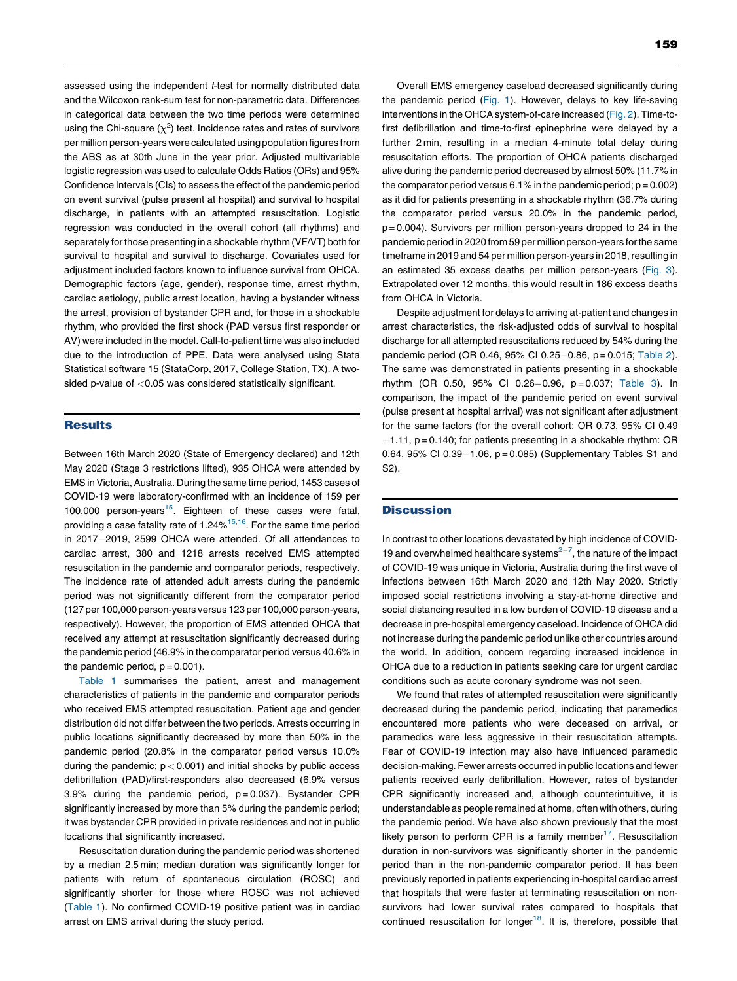assessed using the independent *t*-test for normally distributed data and the Wilcoxon rank-sum test for non-parametric data. Differences in categorical data between the two time periods were determined using the Chi-square  $(\chi^2)$  test. Incidence rates and rates of survivors per million person-years were calculated using population figures from the ABS as at 30th June in the year prior. Adjusted multivariable logistic regression was used to calculate Odds Ratios (ORs) and 95% Confidence Intervals (CIs) to assess the effect of the pandemic period on event survival (pulse present at hospital) and survival to hospital discharge, in patients with an attempted resuscitation. Logistic regression was conducted in the overall cohort (all rhythms) and separately for those presenting in a shockable rhythm (VF/VT) both for survival to hospital and survival to discharge. Covariates used for adjustment included factors known to influence survival from OHCA. Demographic factors (age, gender), response time, arrest rhythm, cardiac aetiology, public arrest location, having a bystander witness the arrest, provision of bystander CPR and, for those in a shockable rhythm, who provided the first shock (PAD versus first responder or AV) were included in the model. Call-to-patient time was also included due to the introduction of PPE. Data were analysed using Stata Statistical software 15 (StataCorp, 2017, College Station, TX). A twosided p-value of <0.05 was considered statistically significant.

#### **Results**

Between 16th March 2020 (State of Emergency declared) and 12th May 2020 (Stage 3 restrictions lifted), 935 OHCA were attended by EMS in Victoria, Australia. During the same time period, 1453 cases of COVID-19 were laboratory-confirmed with an incidence of 159 per 100,000 person-years<sup>15</sup>. Eighteen of these cases were fatal, providing a case fatality rate of  $1.24\%$ <sup>15,16</sup>. For the same time [period](#page-6-0) in 2017-2019, 2599 OHCA were attended. Of all attendances to cardiac arrest, 380 and 1218 arrests received EMS attempted resuscitation in the pandemic and comparator periods, respectively. The incidence rate of attended adult arrests during the pandemic period was not significantly different from the comparator period (127 per 100,000 person-years versus 123 per 100,000 person-years, respectively). However, the proportion of EMS attended OHCA that received any attempt at resuscitation significantly decreased during the pandemic period (46.9% in the comparator period versus 40.6% in the pandemic period,  $p = 0.001$ ).

[Table](#page-3-0) 1 summarises the patient, arrest and management characteristics of patients in the pandemic and comparator periods who received EMS attempted resuscitation. Patient age and gender distribution did not differ between the two periods. Arrests occurring in public locations significantly decreased by more than 50% in the pandemic period (20.8% in the comparator period versus 10.0% during the pandemic;  $p < 0.001$ ) and initial shocks by public access defibrillation (PAD)/first-responders also decreased (6.9% versus  $3.9\%$  during the pandemic period,  $p = 0.037$ ). Bystander CPR significantly increased by more than 5% during the pandemic period; it was bystander CPR provided in private residences and not in public locations that significantly increased.

Resuscitation duration during the pandemic period was shortened by a median 2.5 min; median duration was significantly longer for patients with return of spontaneous circulation (ROSC) and significantly shorter for those where ROSC was not achieved ([Table](#page-3-0) 1). No confirmed COVID-19 positive patient was in cardiac arrest on EMS arrival during the study period.

Overall EMS emergency caseload decreased significantly during the pandemic period ([Fig.](#page-4-0) 1). However, delays to key life-saving interventions in the OHCA system-of-care increased ([Fig.](#page-4-0) 2). Time-tofirst defibrillation and time-to-first epinephrine were delayed by a further 2 min, resulting in a median 4-minute total delay during resuscitation efforts. The proportion of OHCA patients discharged alive during the pandemic period decreased by almost 50% (11.7% in the comparator period versus 6.1% in the pandemic period;  $p = 0.002$ ) as it did for patients presenting in a shockable rhythm (36.7% during the comparator period versus 20.0% in the pandemic period,  $p = 0.004$ ). Survivors per million person-years dropped to 24 in the pandemic period in 2020 from 59 per million person-years forthe same timeframe in 2019 and 54 per million person-years in 2018, resulting in an estimated 35 excess deaths per million person-years ([Fig.](#page-4-0) 3). Extrapolated over 12 months, this would result in 186 excess deaths from OHCA in Victoria.

Despite adjustment for delays to arriving at-patient and changes in arrest characteristics, the risk-adjusted odds of survival to hospital discharge for all attempted resuscitations reduced by 54% during the pandemic period (OR 0.46, 95% CI 0.25-0.86, p = 0.015; [Table](#page-5-0) 2). The same was demonstrated in patients presenting in a shockable rhythm (OR 0.50, 95% CI 0.26-0.96, p = 0.037; [Table](#page-5-0) 3). In comparison, the impact of the pandemic period on event survival (pulse present at hospital arrival) was not significant after adjustment for the same factors (for the overall cohort: OR 0.73, 95% CI 0.49  $-1.11$ ,  $p = 0.140$ ; for patients presenting in a shockable rhythm: OR 0.64, 95% CI 0.39 $-1.06$ , p = 0.085) (Supplementary Tables S1 and S2).

#### **Discussion**

In contrast to other locations devastated by high incidence of COVID-19 and overwhelmed healthcare systems $2^{-7}$ , the nature of the [impact](#page-6-0) of COVID-19 was unique in Victoria, Australia during the first wave of infections between 16th March 2020 and 12th May 2020. Strictly imposed social restrictions involving a stay-at-home directive and social distancing resulted in a low burden of COVID-19 disease and a decrease in pre-hospital emergency caseload. Incidence of OHCA did not increase during the pandemic period unlike other countries around the world. In addition, concern regarding increased incidence in OHCA due to a reduction in patients seeking care for urgent cardiac conditions such as acute coronary syndrome was not seen.

We found that rates of attempted resuscitation were significantly decreased during the pandemic period, indicating that paramedics encountered more patients who were deceased on arrival, or paramedics were less aggressive in their resuscitation attempts. Fear of COVID-19 infection may also have influenced paramedic decision-making. Fewer arrests occurred in public locations and fewer patients received early defibrillation. However, rates of bystander CPR significantly increased and, although counterintuitive, it is understandable as people remained at home, often with others, during the pandemic period. We have also shown previously that the most likely person to perform CPR is a family member<sup>17</sup>. Resuscitation duration in non-survivors was significantly shorter in the pandemic period than in the non-pandemic comparator period. It has been previously reported in patients experiencing in-hospital cardiac arrest that hospitals that were faster at terminating resuscitation on nonsurvivors had lower survival rates compared to hospitals that continued resuscitation for longer $18$ . It is, therefore, possible that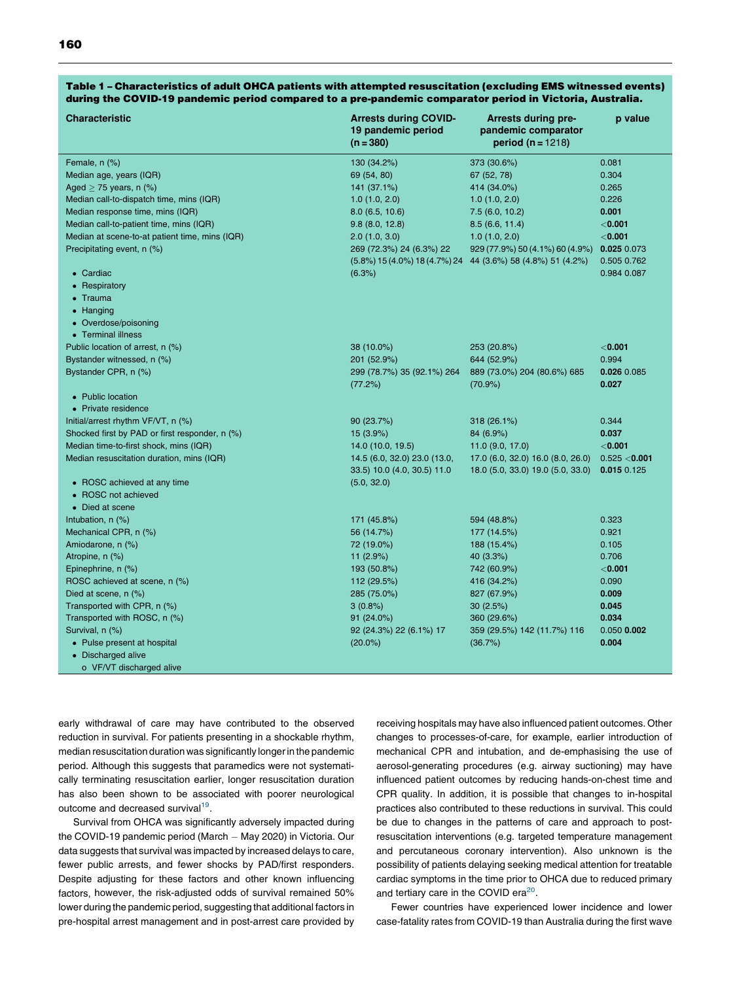| <b>Characteristic</b>                              | <b>Arrests during COVID-</b><br>19 pandemic period<br>$(n = 380)$ | <b>Arrests during pre-</b><br>pandemic comparator<br>period ( $n = 1218$ ) | p value       |
|----------------------------------------------------|-------------------------------------------------------------------|----------------------------------------------------------------------------|---------------|
| Female, n (%)                                      | 130 (34.2%)                                                       | 373 (30.6%)                                                                | 0.081         |
| Median age, years (IQR)                            | 69 (54, 80)                                                       | 67 (52, 78)                                                                | 0.304         |
| Aged $\geq$ 75 years, n (%)                        | 141 (37.1%)                                                       | 414 (34.0%)                                                                | 0.265         |
| Median call-to-dispatch time, mins (IQR)           | 1.0(1.0, 2.0)                                                     | 1.0(1.0, 2.0)                                                              | 0.226         |
| Median response time, mins (IQR)                   | 8.0(6.5, 10.6)                                                    | 7.5(6.0, 10.2)                                                             | 0.001         |
| Median call-to-patient time, mins (IQR)            | 9.8(8.0, 12.8)                                                    | 8.5(6.6, 11.4)                                                             | $<$ 0.001     |
| Median at scene-to-at patient time, mins (IQR)     | 2.0(1.0, 3.0)                                                     | 1.0(1.0, 2.0)                                                              | $<$ 0.001     |
| Precipitating event, n (%)                         | 269 (72.3%) 24 (6.3%) 22                                          | 929 (77.9%) 50 (4.1%) 60 (4.9%)                                            | 0.025 0.073   |
|                                                    |                                                                   | $(5.8\%)$ 15 (4.0%) 18 (4.7%) 24 44 (3.6%) 58 (4.8%) 51 (4.2%)             | 0.505 0.762   |
| • Cardiac                                          | (6.3%)                                                            |                                                                            | 0.984 0.087   |
| • Respiratory                                      |                                                                   |                                                                            |               |
| • Trauma                                           |                                                                   |                                                                            |               |
| • Hanging                                          |                                                                   |                                                                            |               |
| • Overdose/poisoning                               |                                                                   |                                                                            |               |
| • Terminal illness                                 |                                                                   |                                                                            |               |
| Public location of arrest, n (%)                   | 38 (10.0%)                                                        | 253 (20.8%)                                                                | $<$ 0.001     |
| Bystander witnessed, n (%)                         | 201 (52.9%)                                                       | 644 (52.9%)                                                                | 0.994         |
| Bystander CPR, n (%)                               | 299 (78.7%) 35 (92.1%) 264                                        | 889 (73.0%) 204 (80.6%) 685                                                | 0.026 0.085   |
|                                                    | (77.2%)                                                           | $(70.9\%)$                                                                 | 0.027         |
| • Public location                                  |                                                                   |                                                                            |               |
| • Private residence                                |                                                                   |                                                                            |               |
| Initial/arrest rhythm VF/VT, n (%)                 | 90 (23.7%)                                                        | 318 (26.1%)                                                                | 0.344         |
| Shocked first by PAD or first responder, n (%)     | 15 (3.9%)                                                         | 84 (6.9%)                                                                  | 0.037         |
| Median time-to-first shock, mins (IQR)             | 14.0 (10.0, 19.5)                                                 | 11.0 (9.0, 17.0)                                                           | $<$ 0.001     |
| Median resuscitation duration, mins (IQR)          | 14.5 (6.0, 32.0) 23.0 (13.0,                                      | 17.0 (6.0, 32.0) 16.0 (8.0, 26.0)                                          | 0.525 < 0.001 |
|                                                    | 33.5) 10.0 (4.0, 30.5) 11.0                                       | 18.0 (5.0, 33.0) 19.0 (5.0, 33.0)                                          | 0.015 0.125   |
| • ROSC achieved at any time<br>• ROSC not achieved | (5.0, 32.0)                                                       |                                                                            |               |
| • Died at scene                                    |                                                                   |                                                                            |               |
| Intubation, n (%)                                  | 171 (45.8%)                                                       | 594 (48.8%)                                                                | 0.323         |
| Mechanical CPR, n (%)                              | 56 (14.7%)                                                        | 177 (14.5%)                                                                | 0.921         |
| Amiodarone, n (%)                                  | 72 (19.0%)                                                        | 188 (15.4%)                                                                | 0.105         |
| Atropine, n (%)                                    | 11 (2.9%)                                                         | 40 (3.3%)                                                                  | 0.706         |
| Epinephrine, n (%)                                 | 193 (50.8%)                                                       | 742 (60.9%)                                                                | $<$ 0.001     |
| ROSC achieved at scene, n (%)                      | 112 (29.5%)                                                       | 416 (34.2%)                                                                | 0.090         |
| Died at scene, n (%)                               | 285 (75.0%)                                                       | 827 (67.9%)                                                                | 0.009         |
| Transported with CPR, n (%)                        | $3(0.8\%)$                                                        | 30(2.5%)                                                                   | 0.045         |
| Transported with ROSC, n (%)                       | $91(24.0\%)$                                                      | 360 (29.6%)                                                                | 0.034         |
| Survival, n (%)                                    | 92 (24.3%) 22 (6.1%) 17                                           | 359 (29.5%) 142 (11.7%) 116                                                | 0.050 0.002   |
| • Pulse present at hospital                        | $(20.0\%)$                                                        | (36.7%)                                                                    | 0.004         |
| • Discharged alive                                 |                                                                   |                                                                            |               |
| o VF/VT discharged alive                           |                                                                   |                                                                            |               |

#### <span id="page-3-0"></span>Table 1 – Characteristics of adult OHCA patients with attempted resuscitation (excluding EMS witnessed events) during the COVID-19 pandemic period compared to a pre-pandemic comparator period in Victoria, Australia.

early withdrawal of care may have contributed to the observed reduction in survival. For patients presenting in a shockable rhythm, median resuscitation duration was significantly longerin the pandemic period. Although this suggests that paramedics were not systematically terminating resuscitation earlier, longer resuscitation duration has also been shown to be associated with poorer neurological outcome and decreased survival<sup>[19](#page-6-0)</sup>.

Survival from OHCA was significantly adversely impacted during the COVID-19 pandemic period (March - May 2020) in Victoria. Our data suggests that survival was impacted by increased delays to care, fewer public arrests, and fewer shocks by PAD/first responders. Despite adjusting for these factors and other known influencing factors, however, the risk-adjusted odds of survival remained 50% lower during the pandemic period, suggesting that additional factors in pre-hospital arrest management and in post-arrest care provided by receiving hospitals may have also influenced patient outcomes. Other changes to processes-of-care, for example, earlier introduction of mechanical CPR and intubation, and de-emphasising the use of aerosol-generating procedures (e.g. airway suctioning) may have influenced patient outcomes by reducing hands-on-chest time and CPR quality. In addition, it is possible that changes to in-hospital practices also contributed to these reductions in survival. This could be due to changes in the patterns of care and approach to postresuscitation interventions (e.g. targeted temperature management and percutaneous coronary intervention). Also unknown is the possibility of patients delaying seeking medical attention for treatable cardiac symptoms in the time prior to OHCA due to reduced primary and tertiary care in the COVID era $^{20}$ .

Fewer countries have experienced lower incidence and lower case-fatality rates from COVID-19 than Australia during the first wave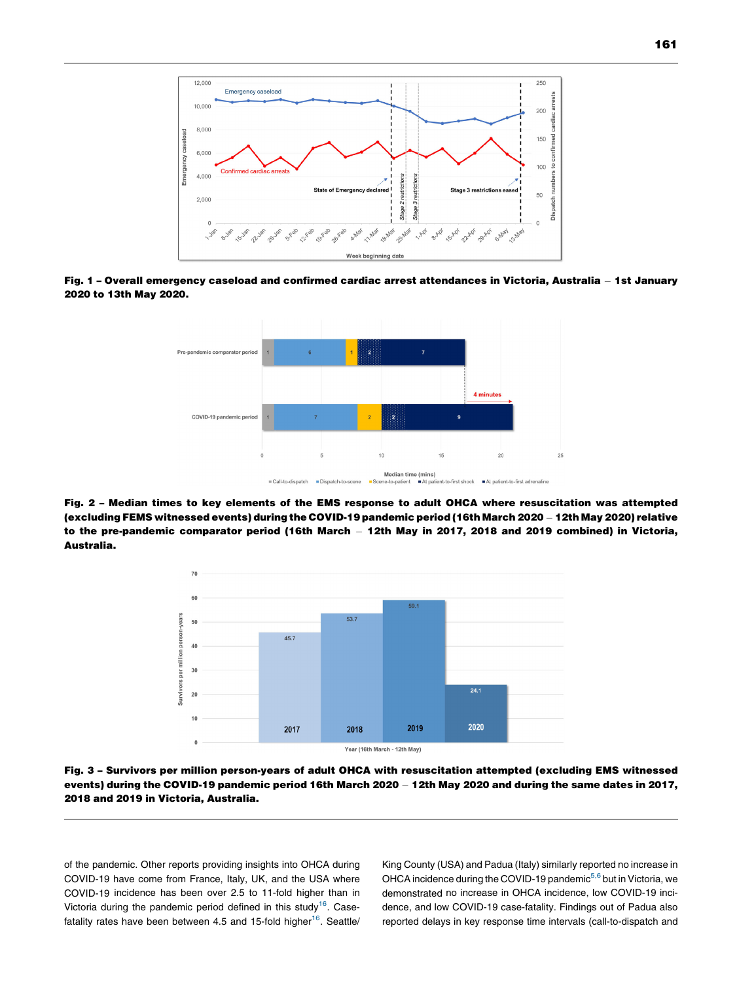<span id="page-4-0"></span>

Fig. 1 - Overall emergency caseload and confirmed cardiac arrest attendances in Victoria, Australia - 1st January 2020 to 13th May 2020.



Fig. 2 – Median times to key elements of the EMS response to adult OHCA where resuscitation was attempted (excluding FEMS witnessed events) during the COVID-19 pandemic period (16th March 2020 – 12th May 2020) relative to the pre-pandemic comparator period (16th March – 12th May in 2017, 2018 and 2019 combined) in Victoria, Australia.



Fig. 3 – Survivors per million person-years of adult OHCA with resuscitation attempted (excluding EMS witnessed events) during the COVID-19 pandemic period 16th March 2020 - 12th May 2020 and during the same dates in 2017, 2018 and 2019 in Victoria, Australia.

of the pandemic. Other reports providing insights into OHCA during COVID-19 have come from France, Italy, UK, and the USA where COVID-19 incidence has been over 2.5 to 11-fold higher than in Victoria during the pandemic period defined in this study<sup>[16](#page-6-0)</sup>. Casefatality rates have been between 4.5 and 15-fold higher $16$ . Seattle/ King County (USA) and Padua (Italy) similarly reported no increase in OHCA incidence during the COVID-19 pandemic<sup>5,6</sup> but in [Victoria,](#page-6-0) we demonstrated no increase in OHCA incidence, low COVID-19 incidence, and low COVID-19 case-fatality. Findings out of Padua also reported delays in key response time intervals (call-to-dispatch and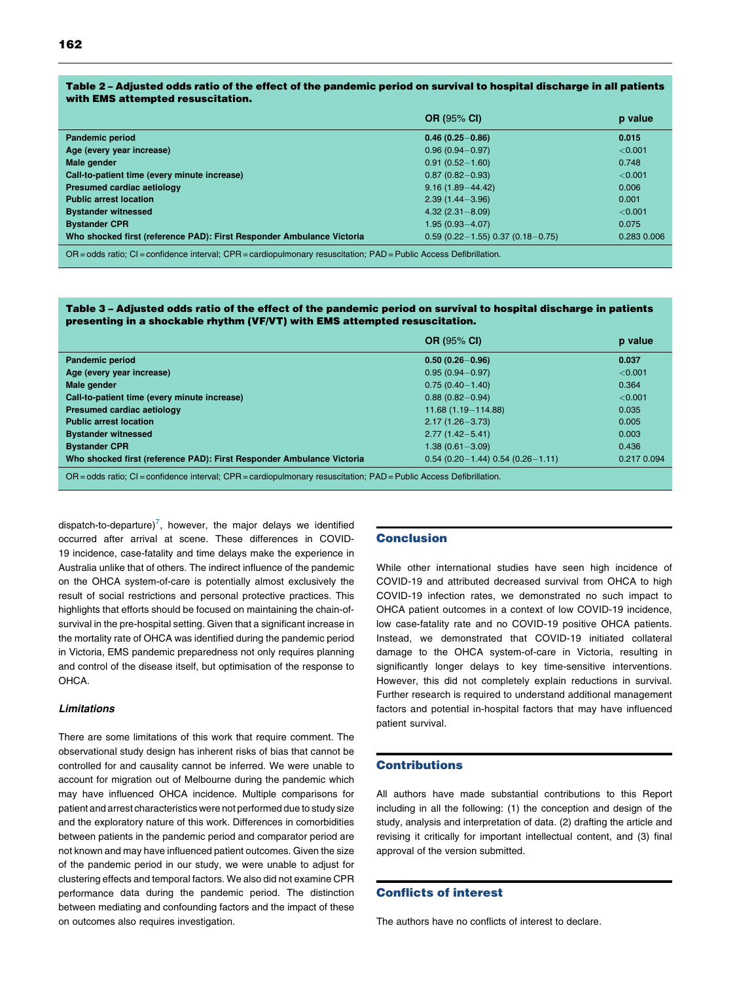#### <span id="page-5-0"></span>Table 2 – Adjusted odds ratio of the effect of the pandemic period on survival to hospital discharge in all patients with EMS attempted resuscitation.

|                                                                                                                             | <b>OR (95% CI)</b>                   | p value     |  |  |
|-----------------------------------------------------------------------------------------------------------------------------|--------------------------------------|-------------|--|--|
| Pandemic period                                                                                                             | $0.46(0.25 - 0.86)$                  | 0.015       |  |  |
| Age (every year increase)                                                                                                   | $0.96(0.94 - 0.97)$                  | < 0.001     |  |  |
| Male gender                                                                                                                 | $0.91(0.52 - 1.60)$                  | 0.748       |  |  |
| Call-to-patient time (every minute increase)                                                                                | $0.87(0.82 - 0.93)$                  | < 0.001     |  |  |
| Presumed cardiac aetiology                                                                                                  | $9.16(1.89 - 44.42)$                 | 0.006       |  |  |
| <b>Public arrest location</b>                                                                                               | $2.39(1.44 - 3.96)$                  | 0.001       |  |  |
| <b>Bystander witnessed</b>                                                                                                  | $4.32(2.31 - 8.09)$                  | < 0.001     |  |  |
| <b>Bystander CPR</b>                                                                                                        | $1.95(0.93 - 4.07)$                  | 0.075       |  |  |
| Who shocked first (reference PAD): First Responder Ambulance Victoria                                                       | $0.59(0.22 - 1.55)0.37(0.18 - 0.75)$ | 0.283 0.006 |  |  |
| $OR = odds$ ratio; $CI = confidence$ interval; $CPR = cardiopulmonary$ resuscitation; $PAD = Public$ Access Defibrillation. |                                      |             |  |  |

#### Table 3 – Adjusted odds ratio of the effect of the pandemic period on survival to hospital discharge in patients presenting in a shockable rhythm (VF/VT) with EMS attempted resuscitation.

|                                                                                                                             | <b>OR (95% CI)</b>                   | p value     |  |  |
|-----------------------------------------------------------------------------------------------------------------------------|--------------------------------------|-------------|--|--|
| Pandemic period                                                                                                             | $0.50(0.26 - 0.96)$                  | 0.037       |  |  |
| Age (every year increase)                                                                                                   | $0.95(0.94 - 0.97)$                  | < 0.001     |  |  |
| Male gender                                                                                                                 | $0.75(0.40 - 1.40)$                  | 0.364       |  |  |
| Call-to-patient time (every minute increase)                                                                                | $0.88(0.82 - 0.94)$                  | < 0.001     |  |  |
| Presumed cardiac aetiology                                                                                                  | $11.68(1.19 - 114.88)$               | 0.035       |  |  |
| <b>Public arrest location</b>                                                                                               | $2.17(1.26 - 3.73)$                  | 0.005       |  |  |
| <b>Bystander witnessed</b>                                                                                                  | $2.77(1.42 - 5.41)$                  | 0.003       |  |  |
| <b>Bystander CPR</b>                                                                                                        | $1.38(0.61 - 3.09)$                  | 0.436       |  |  |
| Who shocked first (reference PAD): First Responder Ambulance Victoria                                                       | $0.54(0.20 - 1.44)0.54(0.26 - 1.11)$ | 0.217 0.094 |  |  |
| $OR = odds$ ratio; $CI = confidence$ interval; $CPR = cardiopulmonary$ resuscitation; $PAD = Public$ Access Defibrillation. |                                      |             |  |  |

dispatch-to-departure)<sup>[7](#page-6-0)</sup>, however, the major delays we identified occurred after arrival at scene. These differences in COVID-19 incidence, case-fatality and time delays make the experience in Australia unlike that of others. The indirect influence of the pandemic on the OHCA system-of-care is potentially almost exclusively the result of social restrictions and personal protective practices. This highlights that efforts should be focused on maintaining the chain-ofsurvival in the pre-hospital setting. Given that a significant increase in the mortality rate of OHCA was identified during the pandemic period in Victoria, EMS pandemic preparedness not only requires planning and control of the disease itself, but optimisation of the response to OHCA.

#### Limitations

There are some limitations of this work that require comment. The observational study design has inherent risks of bias that cannot be controlled for and causality cannot be inferred. We were unable to account for migration out of Melbourne during the pandemic which may have influenced OHCA incidence. Multiple comparisons for patient and arrest characteristics were not performed due to study size and the exploratory nature of this work. Differences in comorbidities between patients in the pandemic period and comparator period are not known and may have influenced patient outcomes. Given the size of the pandemic period in our study, we were unable to adjust for clustering effects and temporal factors. We also did not examine CPR performance data during the pandemic period. The distinction between mediating and confounding factors and the impact of these on outcomes also requires investigation.

#### Conclusion

While other international studies have seen high incidence of COVID-19 and attributed decreased survival from OHCA to high COVID-19 infection rates, we demonstrated no such impact to OHCA patient outcomes in a context of low COVID-19 incidence, low case-fatality rate and no COVID-19 positive OHCA patients. Instead, we demonstrated that COVID-19 initiated collateral damage to the OHCA system-of-care in Victoria, resulting in significantly longer delays to key time-sensitive interventions. However, this did not completely explain reductions in survival. Further research is required to understand additional management factors and potential in-hospital factors that may have influenced patient survival.

#### **Contributions**

All authors have made substantial contributions to this Report including in all the following: (1) the conception and design of the study, analysis and interpretation of data. (2) drafting the article and revising it critically for important intellectual content, and (3) final approval of the version submitted.

#### Conflicts of interest

The authors have no conflicts of interest to declare.